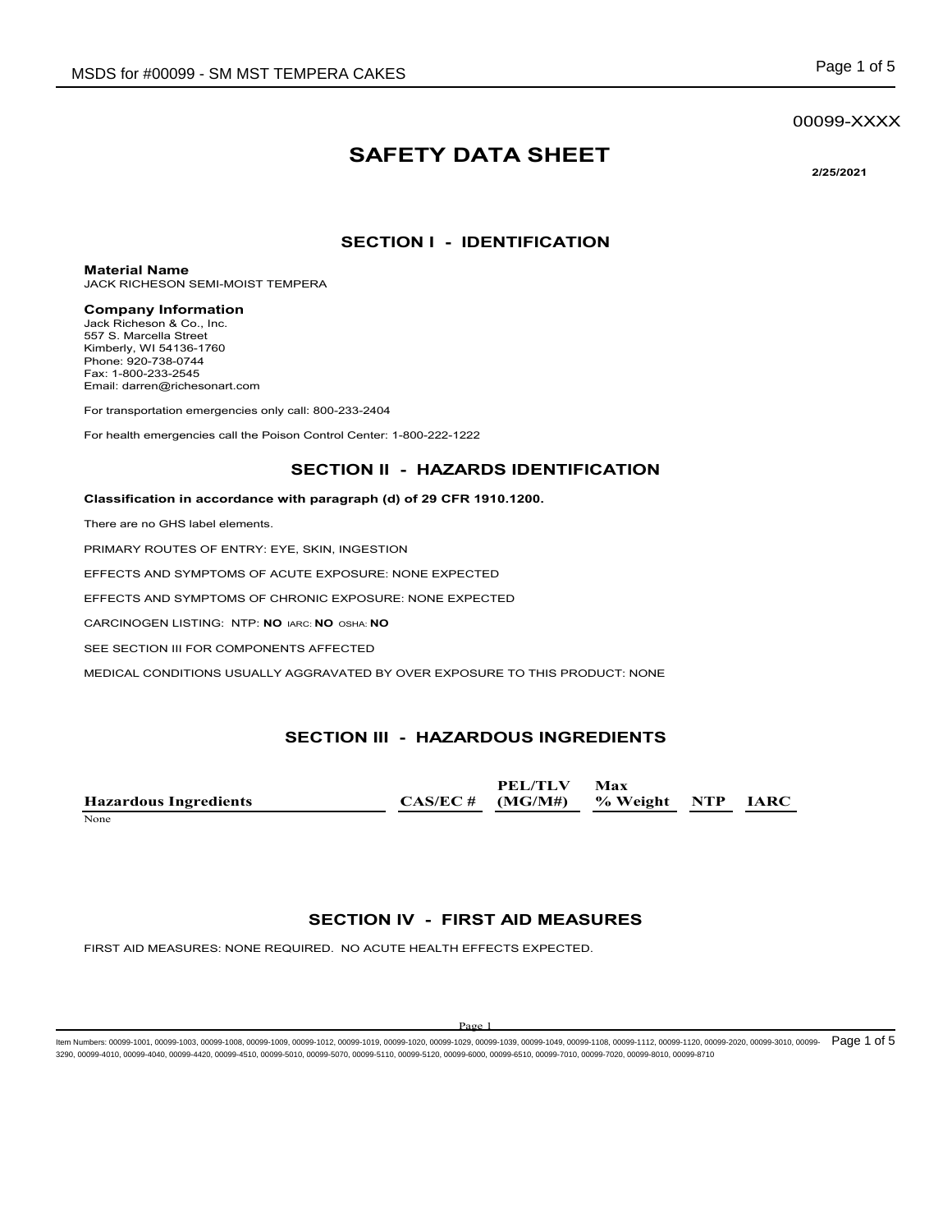#### 00099-XXXX

# **SAFETY DATA SHEET**

**2/25/2021**

#### **SECTION I - IDENTIFICATION**

**Material Name**

JACK RICHESON SEMI-MOIST TEMPERA

#### **Company Information**

Jack Richeson & Co., Inc. 557 S. Marcella Street Kimberly, WI 54136-1760 Phone: 920-738-0744 Fax: 1-800-233-2545 Email: darren@richesonart.com

For transportation emergencies only call: 800-233-2404

For health emergencies call the Poison Control Center: 1-800-222-1222

#### **SECTION II - HAZARDS IDENTIFICATION**

#### **Classification in accordance with paragraph (d) of 29 CFR 1910.1200.**

There are no GHS label elements.

PRIMARY ROUTES OF ENTRY: EYE, SKIN, INGESTION

EFFECTS AND SYMPTOMS OF ACUTE EXPOSURE: NONE EXPECTED

EFFECTS AND SYMPTOMS OF CHRONIC EXPOSURE: NONE EXPECTED

CARCINOGEN LISTING: NTP: **NO** IARC: **NO** OSHA: **NO**

SEE SECTION III FOR COMPONENTS AFFECTED

MEDICAL CONDITIONS USUALLY AGGRAVATED BY OVER EXPOSURE TO THIS PRODUCT: NONE

#### **SECTION III - HAZARDOUS INGREDIENTS**

**Hazardous Ingredients CAS/EC # PEL/TLV (MG/M#) Max % Weight NTP IARC** None and the set of the set of the set of the set of the set of the set of the set of the set of the set of the set of the set of the set of the set of the set of the set of the set of the set of the set of the set of the

#### **SECTION IV - FIRST AID MEASURES**

FIRST AID MEASURES: NONE REQUIRED. NO ACUTE HEALTH EFFECTS EXPECTED.

#### $D_{\alpha\alpha\beta}$

ltem Numbers: 00099-1001, 00099-1003, 00099-1008, 00099-1009, 00099-1012, 00099-1020, 00099-1029, 00099-1039, 00099-1049, 00099-1108, 00099-1112, 00099-1120, 00099-3020, 00099-3010, 00099-2020, 00099-3010, 00099-1 120, 000 3290, 00099-4010, 00099-4040, 00099-4420, 00099-4510, 00099-5010, 00099-5070, 00099-5110, 00099-5120, 00099-6000, 00099-6510, 00099-7010, 00099-7020, 00099-8010, 00099-8710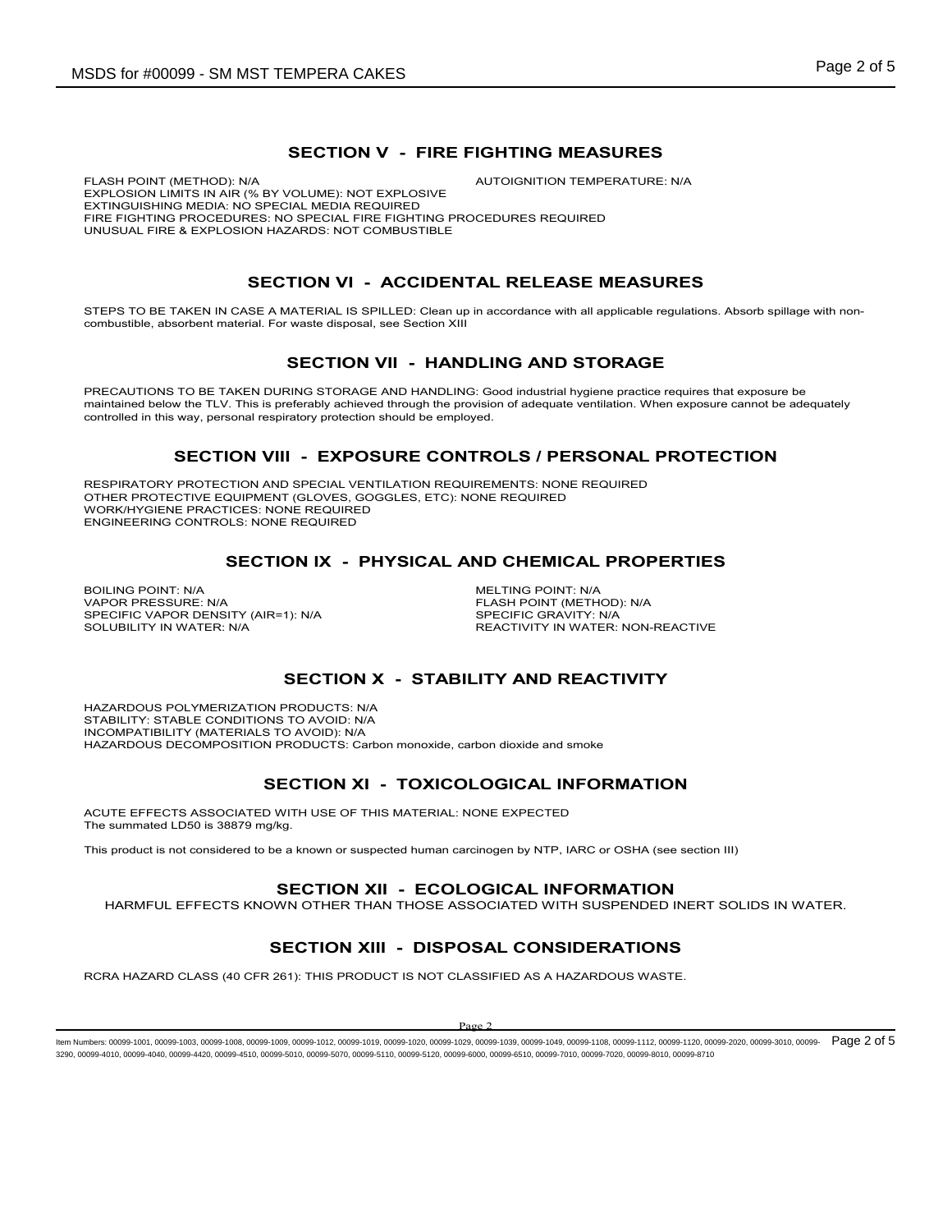#### **SECTION V - FIRE FIGHTING MEASURES**

FLASH POINT (METHOD): N/A **AUTOIGNITION TEMPERATURE: N/A** EXPLOSION LIMITS IN AIR (% BY VOLUME): NOT EXPLOSIVE EXTINGUISHING MEDIA: NO SPECIAL MEDIA REQUIRED FIRE FIGHTING PROCEDURES: NO SPECIAL FIRE FIGHTING PROCEDURES REQUIRED UNUSUAL FIRE & EXPLOSION HAZARDS: NOT COMBUSTIBLE

# **SECTION VI - ACCIDENTAL RELEASE MEASURES**

STEPS TO BE TAKEN IN CASE A MATERIAL IS SPILLED: Clean up in accordance with all applicable regulations. Absorb spillage with noncombustible, absorbent material. For waste disposal, see Section XIII

#### **SECTION VII - HANDLING AND STORAGE**

PRECAUTIONS TO BE TAKEN DURING STORAGE AND HANDLING: Good industrial hygiene practice requires that exposure be maintained below the TLV. This is preferably achieved through the provision of adequate ventilation. When exposure cannot be adequately controlled in this way, personal respiratory protection should be employed.

#### **SECTION VIII - EXPOSURE CONTROLS / PERSONAL PROTECTION**

RESPIRATORY PROTECTION AND SPECIAL VENTILATION REQUIREMENTS: NONE REQUIRED OTHER PROTECTIVE EQUIPMENT (GLOVES, GOGGLES, ETC): NONE REQUIRED WORK/HYGIENE PRACTICES: NONE REQUIRED ENGINEERING CONTROLS: NONE REQUIRED

#### **SECTION IX - PHYSICAL AND CHEMICAL PROPERTIES**

BOILING POINT: N/A<br>
VAPOR PRESSURE: N/A<br>
VAPOR PRESSURE: N/A SPECIFIC VAPOR DENSITY (AIR=1): N/A<br>SOLUBILITY IN WATER: N/A

FLASH POINT (METHOD): N/A<br>SPECIFIC GRAVITY: N/A REACTIVITY IN WATER: NON-REACTIVE

#### **SECTION X - STABILITY AND REACTIVITY**

HAZARDOUS POLYMERIZATION PRODUCTS: N/A STABILITY: STABLE CONDITIONS TO AVOID: N/A INCOMPATIBILITY (MATERIALS TO AVOID): N/A HAZARDOUS DECOMPOSITION PRODUCTS: Carbon monoxide, carbon dioxide and smoke

#### **SECTION XI - TOXICOLOGICAL INFORMATION**

ACUTE EFFECTS ASSOCIATED WITH USE OF THIS MATERIAL: NONE EXPECTED The summated LD50 is 38879 mg/kg.

This product is not considered to be a known or suspected human carcinogen by NTP, IARC or OSHA (see section III)

#### **SECTION XII - ECOLOGICAL INFORMATION**

HARMFUL EFFECTS KNOWN OTHER THAN THOSE ASSOCIATED WITH SUSPENDED INERT SOLIDS IN WATER.

# **SECTION XIII - DISPOSAL CONSIDERATIONS**

RCRA HAZARD CLASS (40 CFR 261): THIS PRODUCT IS NOT CLASSIFIED AS A HAZARDOUS WASTE.

#### $\mathbf{p}_{\alpha}$

ltem Numbers: 00099-1001, 00099-1003, 00099-1008, 00099-1009, 00099-1012, 00099-1020, 00099-1029, 00099-1039, 00099-1049, 00099-1108, 00099-1112, 00099-1120, 00099-3020, 00099-3010, 00099-2020, 00099-3010, 00099- 1020 e9 2 3290, 00099-4010, 00099-4040, 00099-4420, 00099-4510, 00099-5010, 00099-5070, 00099-5110, 00099-5120, 00099-6000, 00099-6510, 00099-7010, 00099-7020, 00099-8010, 00099-8710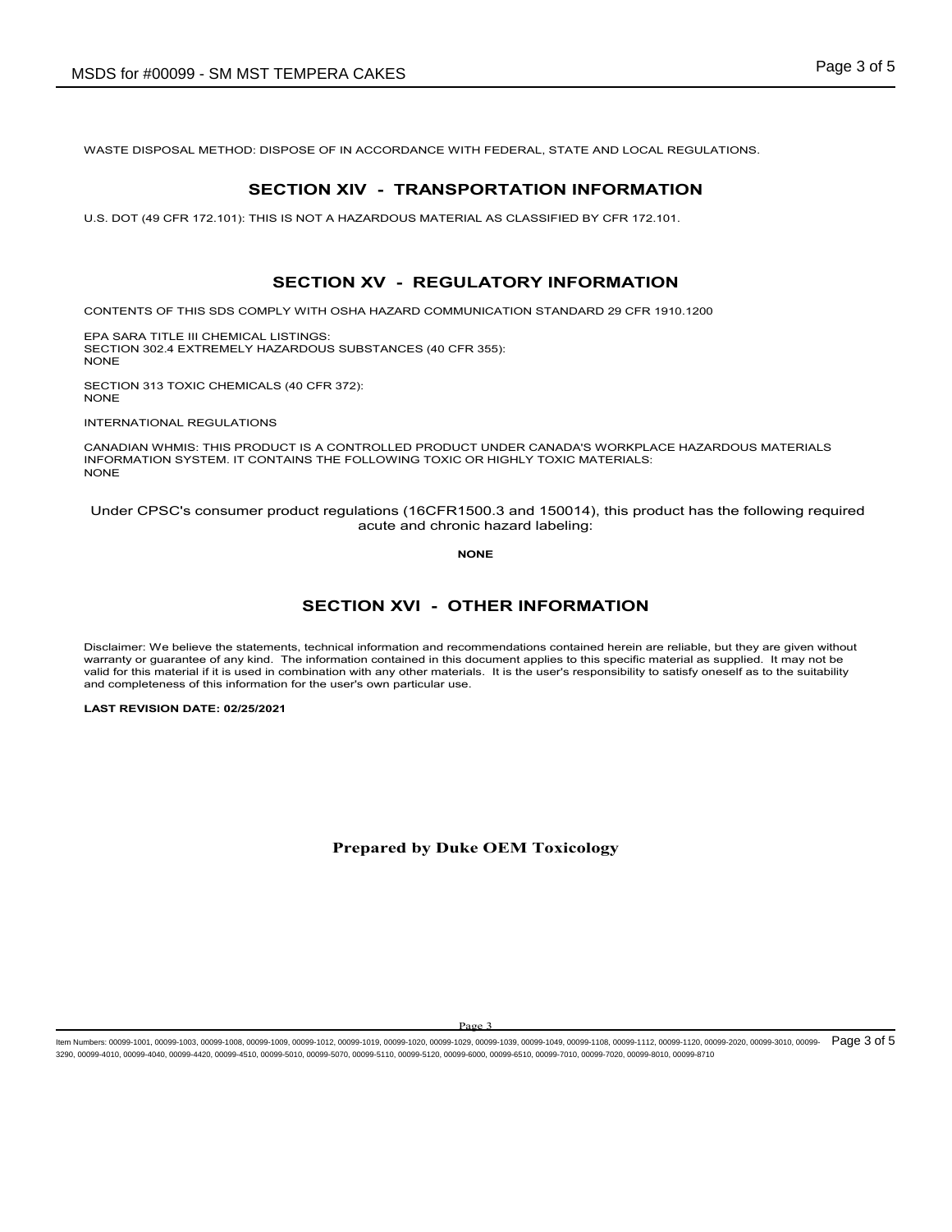WASTE DISPOSAL METHOD: DISPOSE OF IN ACCORDANCE WITH FEDERAL, STATE AND LOCAL REGULATIONS.

#### **SECTION XIV - TRANSPORTATION INFORMATION**

U.S. DOT (49 CFR 172.101): THIS IS NOT A HAZARDOUS MATERIAL AS CLASSIFIED BY CFR 172.101.

### **SECTION XV - REGULATORY INFORMATION**

CONTENTS OF THIS SDS COMPLY WITH OSHA HAZARD COMMUNICATION STANDARD 29 CFR 1910.1200

EPA SARA TITLE III CHEMICAL LISTINGS: SECTION 302.4 EXTREMELY HAZARDOUS SUBSTANCES (40 CFR 355): NONE

SECTION 313 TOXIC CHEMICALS (40 CFR 372): NONE

INTERNATIONAL REGULATIONS

CANADIAN WHMIS: THIS PRODUCT IS A CONTROLLED PRODUCT UNDER CANADA'S WORKPLACE HAZARDOUS MATERIALS INFORMATION SYSTEM. IT CONTAINS THE FOLLOWING TOXIC OR HIGHLY TOXIC MATERIALS: **NONE** 

Under CPSC's consumer product regulations (16CFR1500.3 and 150014), this product has the following required acute and chronic hazard labeling:

**NONE**

#### **SECTION XVI - OTHER INFORMATION**

Disclaimer: We believe the statements, technical information and recommendations contained herein are reliable, but they are given without warranty or guarantee of any kind. The information contained in this document applies to this specific material as supplied. It may not be valid for this material if it is used in combination with any other materials. It is the user's responsibility to satisfy oneself as to the suitability and completeness of this information for the user's own particular use.

**LAST REVISION DATE: 02/25/2021**

#### **Prepared by Duke OEM Toxicology**

ltem Numbers: 00099-1001, 00099-1003, 00099-1008, 00099-1009, 00099-1012, 00099-1020, 00099-1029, 00099-1039, 00099-1049, 00099-1108, 00099-1112, 00099-1120, 00099-3020, 00099-3010, 00099-2020, 00099-3010, 00099- 1000, 000 3290, 00099-4010, 00099-4040, 00099-4420, 00099-4510, 00099-5010, 00099-5070, 00099-5110, 00099-5120, 00099-6000, 00099-6510, 00099-7010, 00099-7020, 00099-8010, 00099-8710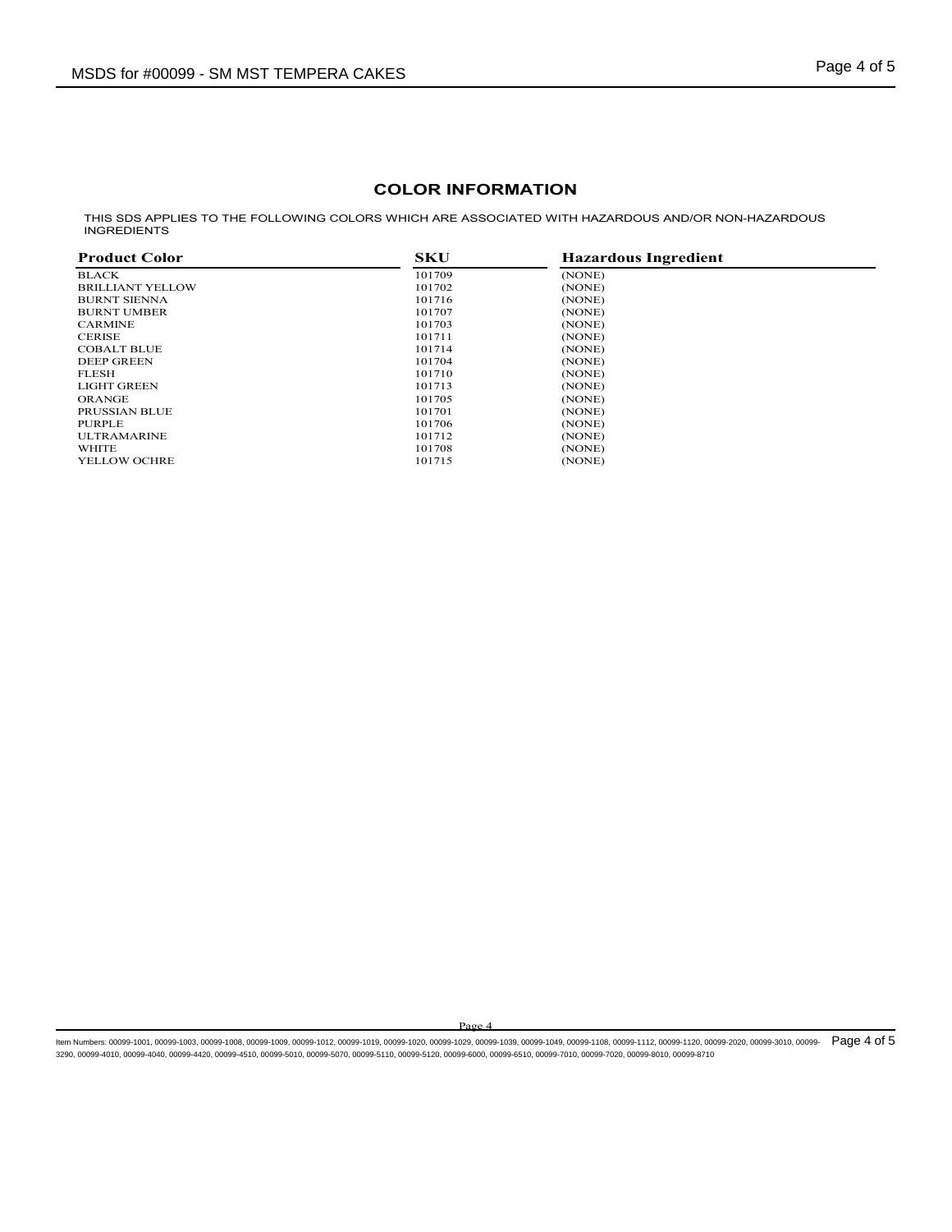### **COLOR INFORMATION**

THIS SDS APPLIES TO THE FOLLOWING COLORS WHICH ARE ASSOCIATED WITH HAZARDOUS AND/OR NON-HAZARDOUS INGREDIENTS

| <b>Product Color</b>    | <b>SKU</b> | <b>Hazardous Ingredient</b> |  |
|-------------------------|------------|-----------------------------|--|
| <b>BLACK</b>            | 101709     | (NONE)                      |  |
| <b>BRILLIANT YELLOW</b> | 101702     | (NONE)                      |  |
| <b>BURNT SIENNA</b>     | 101716     | (NONE)                      |  |
| <b>BURNT UMBER</b>      | 101707     | (NONE)                      |  |
| <b>CARMINE</b>          | 101703     | (NONE)                      |  |
| <b>CERISE</b>           | 101711     | (NONE)                      |  |
| <b>COBALT BLUE</b>      | 101714     | (NONE)                      |  |
| <b>DEEP GREEN</b>       | 101704     | (NONE)                      |  |
| <b>FLESH</b>            | 101710     | (NONE)                      |  |
| <b>LIGHT GREEN</b>      | 101713     | (NONE)                      |  |
| <b>ORANGE</b>           | 101705     | (NONE)                      |  |
| PRUSSIAN BLUE           | 101701     | (NONE)                      |  |
| PURPLE                  | 101706     | (NONE)                      |  |
| <b>ULTRAMARINE</b>      | 101712     | (NONE)                      |  |
| WHITE                   | 101708     | (NONE)                      |  |
| <b>YELLOW OCHRE</b>     | 101715     | (NONE)                      |  |

Page 4

ltem Numbers: 00099-1001, 00099-1003, 00099-1008, 00099-1009, 00099-1012, 00099-1020, 00099-1029, 00099-1039, 00099-1049, 00099-1108, 00099-1112, 00099-1120, 00099-3020, 00099-3010, 00099-2020, 00099-3010, 00099- 1000, 000 3290, 00099-4010, 00099-4040, 00099-4420, 00099-4510, 00099-5010, 00099-5070, 00099-5110, 00099-5120, 00099-6000, 00099-6510, 00099-7010, 00099-7020, 00099-8010, 00099-8710